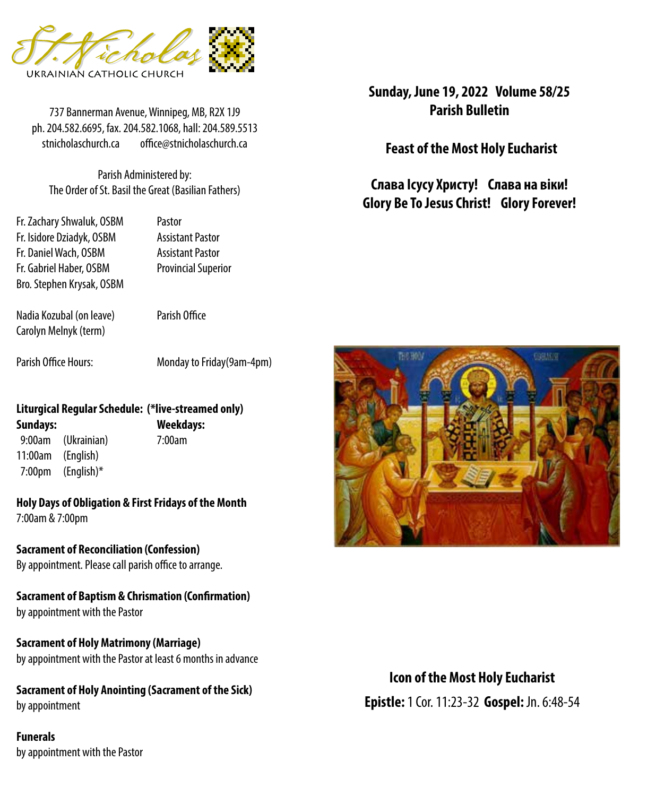

737 Bannerman Avenue, Winnipeg, MB, R2X 1J9 **Parish Bulletin** ph. 204.582.6695, fax. 204.582.1068, hall: 204.589.5513 stnicholaschurch.ca office@stnicholaschurch.ca

Parish Administered by: The Order of St. Basil the Great (Basilian Fathers)

Fr. Zachary Shwaluk, OSBM Pastor Fr. Isidore Dziadyk, OSBM Assistant Pastor Fr. Daniel Wach, OSBM Assistant Pastor Fr. Gabriel Haber, OSBM Provincial Superior Bro. Stephen Krysak, OSBM

Nadia Kozubal (on leave) Parish Office Carolyn Melnyk (term)

Parish Office Hours: Monday to Friday(9am-4pm)

#### **Liturgical Regular Schedule: (\*live-streamed only) Sundays: Weekdays:**

 9:00am (Ukrainian) 7:00am 11:00am (English) 7:00pm (English)\*

**Holy Days of Obligation & First Fridays of the Month**

7:00am & 7:00pm

**Sacrament of Reconciliation (Confession)** By appointment. Please call parish office to arrange.

**Sacrament of Baptism & Chrismation (Confirmation)** by appointment with the Pastor

**Sacrament of Holy Matrimony (Marriage)** by appointment with the Pastor at least 6 months in advance

**Sacrament of Holy Anointing (Sacrament of the Sick)** by appointment

**Funerals** by appointment with the Pastor **Sunday, June 19, 2022 Volume 58/25**

**Feast of the Most Holy Eucharist**

**Слава Ісусу Христу! Слава на віки! Glory Be To Jesus Christ! Glory Forever!**



**Icon of the Most Holy Eucharist Epistle:** 1 Cor. 11:23-32 **Gospel:** Jn. 6:48-54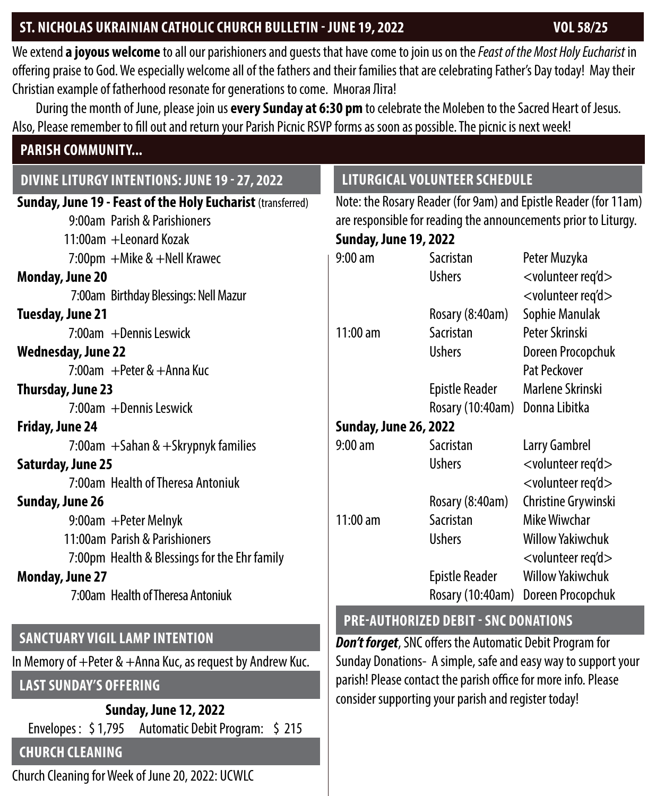## ST. NICHOLAS UKRAINIAN CATHOLIC CHURCH BULLETIN - JUNE 19, 2022 **VOL 58/25**

We extend **a joyous welcome** to all our parishioners and guests that have come to join us on the *Feast of the Most Holy Eucharist* in offering praise to God. We especially welcome all of the fathers and their families that are celebrating Father's Day today! May their Christian example of fatherhood resonate for generations to come. Многая Літа!

During the month of June, please join us **every Sunday at 6:30 pm** to celebrate the Moleben to the Sacred Heart of Jesus. Also, Please remember to fill out and return your Parish Picnic RSVP forms as soon as possible. The picnic is next week!

#### **PARISH COMMUNITY...**

## **DIVINE LITURGY INTENTIONS: JUNE 19 - 27, 2022**

| <b>Sunday, June 19 - Feast of the Holy Eucharist (transferred)</b> | Note: the Rosary Reader (for 9an  |                                 |
|--------------------------------------------------------------------|-----------------------------------|---------------------------------|
| 9:00am Parish & Parishioners                                       | are responsible for reading the a |                                 |
| 11:00am +Leonard Kozak                                             | <b>Sunday, June 19, 2022</b>      |                                 |
| 7:00pm + Mike & + Nell Krawec                                      | $9:00 \text{ am}$                 | Sacristan                       |
| <b>Monday, June 20</b>                                             |                                   | <b>Ushers</b>                   |
| 7:00am Birthday Blessings: Nell Mazur                              |                                   |                                 |
| Tuesday, June 21                                                   |                                   | <b>Rosary (8:40</b>             |
| 7:00am +Dennis Leswick                                             | $11:00$ am                        | Sacristan                       |
| <b>Wednesday, June 22</b>                                          |                                   | <b>Ushers</b>                   |
| 7:00am $+$ Peter & $+$ Anna Kuc                                    |                                   |                                 |
| Thursday, June 23                                                  |                                   | Epistle Read                    |
| 7:00am +Dennis Leswick                                             |                                   | <b>Rosary (10:4</b>             |
| Friday, June 24                                                    | <b>Sunday, June 26, 2022</b>      |                                 |
| 7:00am $+$ Sahan & $+$ Skrypnyk families                           | $9:00$ am                         | Sacristan                       |
| <b>Saturday, June 25</b>                                           |                                   | <b>Ushers</b>                   |
| 7:00am Health of Theresa Antoniuk                                  |                                   |                                 |
| Sunday, June 26                                                    |                                   | <b>Rosary (8:40</b>             |
| 9:00am + Peter Melnyk                                              | $11:00$ am                        | Sacristan                       |
| 11:00am Parish & Parishioners                                      |                                   | <b>Ushers</b>                   |
| 7:00pm Health & Blessings for the Ehr family                       |                                   |                                 |
| <b>Monday, June 27</b>                                             |                                   | Epistle Read                    |
| 7:00am Health of Theresa Antoniuk                                  |                                   | <b>Rosary (10:4</b>             |
|                                                                    |                                   | <b>PRE-AUTHORIZED DERIT - 9</b> |

#### **SANCTUARY VIGIL LAMP INTENTION**

In Memory of +Peter & +Anna Kuc, as request by Andrew Kuc.

# **LAST SUNDAY'S OFFERING**

**Sunday, June 12, 2022** Envelopes : \$ 1,795 Automatic Debit Program: \$ 215

## **CHURCH CLEANING**

Church Cleaning for Week of June 20, 2022: UCWLC

# **LITURGICAL VOLUNTEER SCHEDULE**

n) and Epistle Reader (for 11am) Innouncements prior to Liturgy.

| 9:00 am               | Sacristan             | Peter Muzyka                     |  |  |
|-----------------------|-----------------------|----------------------------------|--|--|
|                       | Ushers                | <volunteer req'd=""></volunteer> |  |  |
|                       |                       | <volunteer req'd=""></volunteer> |  |  |
|                       | Rosary (8:40am)       | Sophie Manulak                   |  |  |
| 11:00 am              | Sacristan             | Peter Skrinski                   |  |  |
|                       | <b>Ushers</b>         | Doreen Procopchuk                |  |  |
|                       |                       | Pat Peckover                     |  |  |
|                       | Epistle Reader        | Marlene Skrinski                 |  |  |
|                       | Rosary (10:40am)      | Donna Libitka                    |  |  |
| Sunday, June 26, 2022 |                       |                                  |  |  |
| 9:00 am               | Sacristan             | Larry Gambrel                    |  |  |
|                       | <b>Ushers</b>         | <volunteer req'd=""></volunteer> |  |  |
|                       |                       | <volunteer req'd=""></volunteer> |  |  |
|                       | Rosary (8:40am)       | Christine Grywinski              |  |  |
| $11:00$ am            | Sacristan             | Mike Wiwchar                     |  |  |
|                       | <b>Ushers</b>         | Willow Yakiwchuk                 |  |  |
|                       |                       | <volunteer req'd=""></volunteer> |  |  |
|                       | <b>Epistle Reader</b> | <b>Willow Yakiwchuk</b>          |  |  |
|                       | Rosary (10:40am)      | Doreen Procopchuk                |  |  |

## **SNC DONATIONS**

*Don't forget*, SNC offers the Automatic Debit Program for Sunday Donations- A simple, safe and easy way to support your parish! Please contact the parish office for more info. Please consider supporting your parish and register today!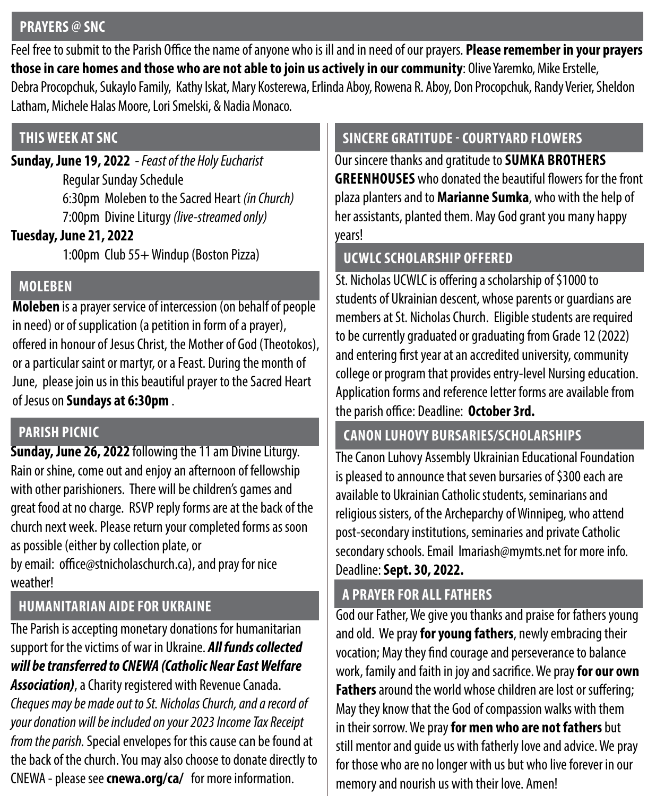#### **PRAYERS @ SNC**

Feel free to submit to the Parish Office the name of anyone who is ill and in need of our prayers. **Please remember in your prayers those in care homes and those who are not able to join us actively in our community**: Olive Yaremko, Mike Erstelle, Debra Procopchuk, Sukaylo Family, Kathy Iskat, Mary Kosterewa, Erlinda Aboy, Rowena R. Aboy, Don Procopchuk, Randy Verier, Sheldon Latham, Michele Halas Moore, Lori Smelski, & Nadia Monaco.

## **THIS WEEK AT SNC**

**Sunday, June 19, 2022** *- Feast of the Holy Eucharist* Regular Sunday Schedule 6:30pm Moleben to the Sacred Heart *(in Church)* 7:00pm Divine Liturgy *(live-streamed only)*

#### **Tuesday, June 21, 2022**

1:00pm Club 55+ Windup (Boston Pizza)

## **MOLEBEN**

**Moleben** is a prayer service of intercession (on behalf of people in need) or of supplication (a petition in form of a prayer), offered in honour of Jesus Christ, the Mother of God (Theotokos), or a particular saint or martyr, or a Feast. During the month of June, please join us in this beautiful prayer to the Sacred Heart of Jesus on **Sundays at 6:30pm** .

## **PARISH PICNIC**

**Sunday, June 26, 2022** following the 11 am Divine Liturgy. Rain or shine, come out and enjoy an afternoon of fellowship with other parishioners. There will be children's games and great food at no charge. RSVP reply forms are at the back of the church next week. Please return your completed forms as soon as possible (either by collection plate, or

by email: office@stnicholaschurch.ca), and pray for nice weather!

# **HUMANITARIAN AIDE FOR UKRAINE**

The Parish is accepting monetary donations for humanitarian support for the victims of war in Ukraine. *All funds collected will be transferred to CNEWA (Catholic Near East Welfare Association)*, a Charity registered with Revenue Canada.

*Cheques may be made out to St. Nicholas Church, and a record of your donation will be included on your 2023 Income Tax Receipt from the parish.* Special envelopes for this cause can be found at the back of the church. You may also choose to donate directly to CNEWA - please see **cnewa.org/ca/** for more information.

# **SINCERE GRATITUDE - COURTYARD FLOWERS**

Our sincere thanks and gratitude to **SUMKA BROTHERS GREENHOUSES** who donated the beautiful flowers for the front plaza planters and to **Marianne Sumka**, who with the help of her assistants, planted them. May God grant you many happy years!

# **UCWLC SCHOLARSHIP OFFERED**

St. Nicholas UCWLC is offering a scholarship of \$1000 to students of Ukrainian descent, whose parents or guardians are members at St. Nicholas Church. Eligible students are required to be currently graduated or graduating from Grade 12 (2022) and entering first year at an accredited university, community college or program that provides entry-level Nursing education. Application forms and reference letter forms are available from the parish office: Deadline: **October 3rd.** 

# **CANON LUHOVY BURSARIES/SCHOLARSHIPS**

The Canon Luhovy Assembly Ukrainian Educational Foundation is pleased to announce that seven bursaries of \$300 each are available to Ukrainian Catholic students, seminarians and religious sisters, of the Archeparchy of Winnipeg, who attend post-secondary institutions, seminaries and private Catholic secondary schools. Email lmariash@mymts.net for more info. Deadline: **Sept. 30, 2022.**

# **A PRAYER FOR ALL FATHERS**

God our Father, We give you thanks and praise for fathers young and old. We pray **for young fathers**, newly embracing their vocation; May they find courage and perseverance to balance work, family and faith in joy and sacrifice. We pray **for our own Fathers** around the world whose children are lost or suffering; May they know that the God of compassion walks with them in their sorrow. We pray **for men who are not fathers** but still mentor and guide us with fatherly love and advice. We pray for those who are no longer with us but who live forever in our memory and nourish us with their love. Amen!